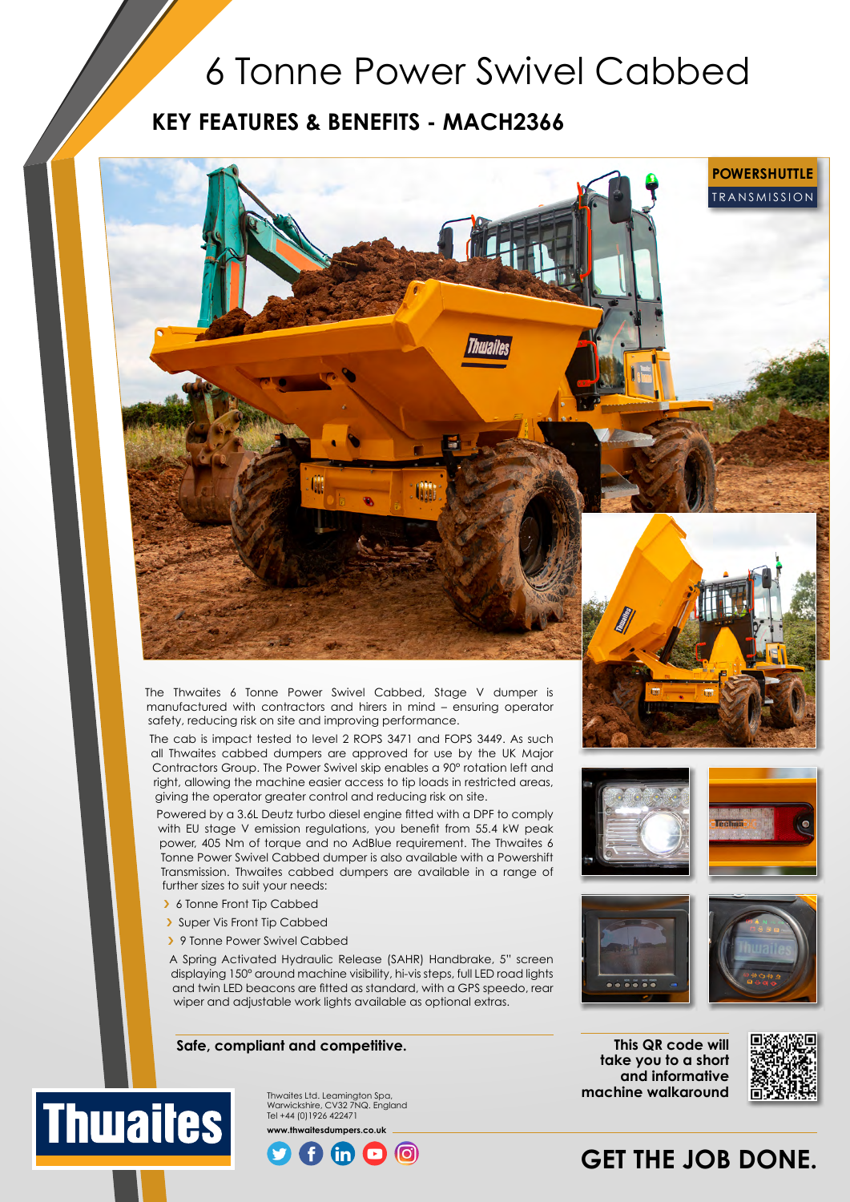## 6 Tonne Power Swivel Cabbed

### **KEY FEATURES & BENEFITS - MACH2366**

The Thwaites 6 Tonne Power Swivel Cabbed, Stage V dumper is manufactured with contractors and hirers in mind – ensuring operator safety, reducing risk on site and improving performance.

The cab is impact tested to level 2 ROPS 3471 and FOPS 3449. As such all Thwaites cabbed dumpers are approved for use by the UK Major Contractors Group. The Power Swivel skip enables a 90° rotation left and right, allowing the machine easier access to tip loads in restricted areas, giving the operator greater control and reducing risk on site.

Powered by a 3.6L Deutz turbo diesel engine fitted with a DPF to comply with EU stage V emission regulations, you benefit from 55.4 kW peak power, 405 Nm of torque and no AdBlue requirement. The Thwaites 6 Tonne Power Swivel Cabbed dumper is also available with a Powershift Transmission. Thwaites cabbed dumpers are available in a range of further sizes to suit your needs:

- › 6 Tonne Front Tip Cabbed
- › Super Vis Front Tip Cabbed

**Thwaites** 

> 9 Tonne Power Swivel Cabbed

A Spring Activated Hydraulic Release (SAHR) Handbrake, 5" screen displaying 150° around machine visibility, hi-vis steps, full LED road lights and twin LED beacons are fitted as standard, with a GPS speedo, rear wiper and adjustable work lights available as optional extras.

#### **Safe, compliant and competitive.**

**This QR code will take you to a short and informative** 

**machine walkaround**



TRANSMISSION **POWERSHUTTLE**

## **GET THE JOB DONE.**

Warwickshire, CV32 7NQ. England Tel +44 (0)1926 422471 **www.thwaitesdumpers.co.uk**

Thwaites Ltd. Leamington Spa,